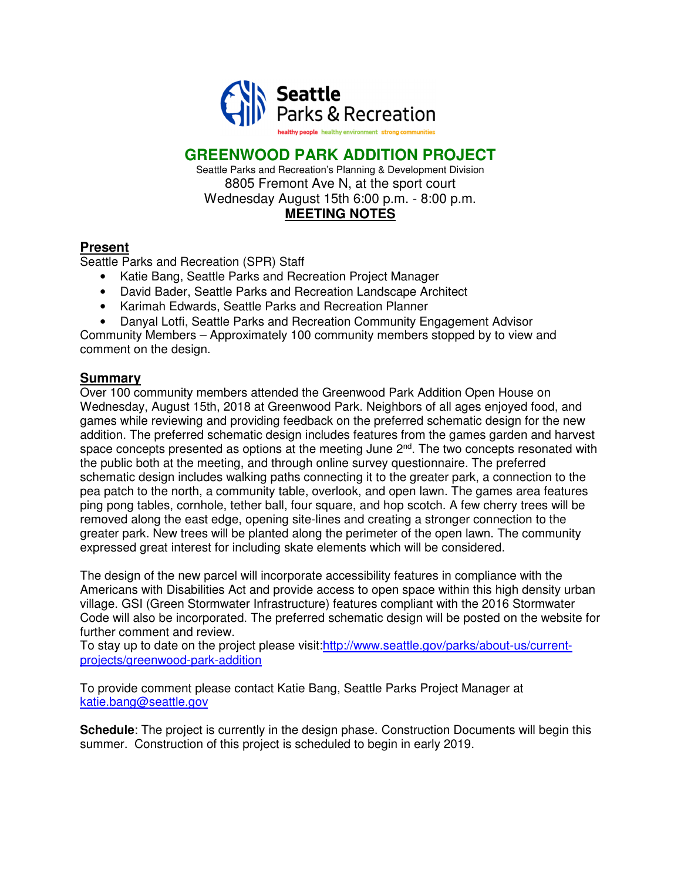

## **GREENWOOD PARK ADDITION PROJECT**

Seattle Parks and Recreation's Planning & Development Division 8805 Fremont Ave N, at the sport court Wednesday August 15th 6:00 p.m. - 8:00 p.m. **MEETING NOTES** 

### **Present**

Seattle Parks and Recreation (SPR) Staff

- Katie Bang, Seattle Parks and Recreation Project Manager
- David Bader, Seattle Parks and Recreation Landscape Architect
- Karimah Edwards, Seattle Parks and Recreation Planner
- Danyal Lotfi, Seattle Parks and Recreation Community Engagement Advisor

Community Members – Approximately 100 community members stopped by to view and comment on the design.

#### **Summary**

Over 100 community members attended the Greenwood Park Addition Open House on Wednesday, August 15th, 2018 at Greenwood Park. Neighbors of all ages enjoyed food, and games while reviewing and providing feedback on the preferred schematic design for the new addition. The preferred schematic design includes features from the games garden and harvest space concepts presented as options at the meeting June  $2<sup>nd</sup>$ . The two concepts resonated with the public both at the meeting, and through online survey questionnaire. The preferred schematic design includes walking paths connecting it to the greater park, a connection to the pea patch to the north, a community table, overlook, and open lawn. The games area features ping pong tables, cornhole, tether ball, four square, and hop scotch. A few cherry trees will be removed along the east edge, opening site-lines and creating a stronger connection to the greater park. New trees will be planted along the perimeter of the open lawn. The community expressed great interest for including skate elements which will be considered.

The design of the new parcel will incorporate accessibility features in compliance with the Americans with Disabilities Act and provide access to open space within this high density urban village. GSI (Green Stormwater Infrastructure) features compliant with the 2016 Stormwater Code will also be incorporated. The preferred schematic design will be posted on the website for further comment and review.

To stay up to date on the project please visit:http://www.seattle.gov/parks/about-us/currentprojects/greenwood-park-addition

To provide comment please contact Katie Bang, Seattle Parks Project Manager at katie.bang@seattle.gov

**Schedule**: The project is currently in the design phase. Construction Documents will begin this summer. Construction of this project is scheduled to begin in early 2019.